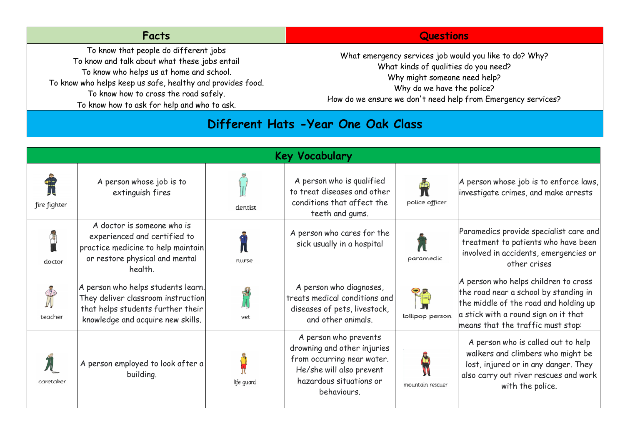| To know that people do different jobs<br>What emergency services job would you like to do? Why?<br>To know and talk about what these jobs entail<br>What kinds of qualities do you need?<br>To know who helps us at home and school.<br>Why might someone need help?<br>To know who helps keep us safe, healthy and provides food.<br>Why do we have the police?<br>To know how to cross the road safely.<br>How do we ensure we don't need help from Emergency services? | <b>Facts</b>                                | <b>Questions</b> |
|---------------------------------------------------------------------------------------------------------------------------------------------------------------------------------------------------------------------------------------------------------------------------------------------------------------------------------------------------------------------------------------------------------------------------------------------------------------------------|---------------------------------------------|------------------|
|                                                                                                                                                                                                                                                                                                                                                                                                                                                                           | To know how to ask for help and who to ask. |                  |

## **Different Hats -Year One Oak Class**

| <b>Key Vocabulary</b> |                                                                                                                                                    |            |                                                                                                                                                          |                  |                                                                                                                                                                                                     |  |  |
|-----------------------|----------------------------------------------------------------------------------------------------------------------------------------------------|------------|----------------------------------------------------------------------------------------------------------------------------------------------------------|------------------|-----------------------------------------------------------------------------------------------------------------------------------------------------------------------------------------------------|--|--|
| fire fighter          | A person whose job is to<br>extinguish fires                                                                                                       | dentist    | A person who is qualified<br>to treat diseases and other<br>conditions that affect the<br>teeth and gums.                                                | police officer   | A person whose job is to enforce laws,<br>investigate crimes, and make arrests                                                                                                                      |  |  |
| doctor                | A doctor is someone who is<br>experienced and certified to<br>practice medicine to help maintain<br>or restore physical and mental<br>health.      | nurse      | A person who cares for the<br>sick usually in a hospital                                                                                                 | paramedic        | Paramedics provide specialist care and<br>treatment to patients who have been<br>involved in accidents, emergencies or<br>other crises                                                              |  |  |
| teacher               | A person who helps students learn.<br>They deliver classroom instruction<br>that helps students further their<br>knowledge and acquire new skills. | vet        | A person who diagnoses,<br>treats medical conditions and<br>diseases of pets, livestock,<br>and other animals.                                           | lollipop person  | A person who helps children to cross<br>the road near a school by standing in<br>the middle of the road and holding up<br>a stick with a round sign on it that<br>means that the traffic must stop: |  |  |
| caretaker             | A person employed to look after a<br>building.                                                                                                     | life guard | A person who prevents<br>drowning and other injuries<br>from occurring near water.<br>He/she will also prevent<br>hazardous situations or<br>behaviours. | mountain rescuer | A person who is called out to help<br>walkers and climbers who might be<br>lost, injured or in any danger. They<br>also carry out river rescues and work<br>with the police.                        |  |  |